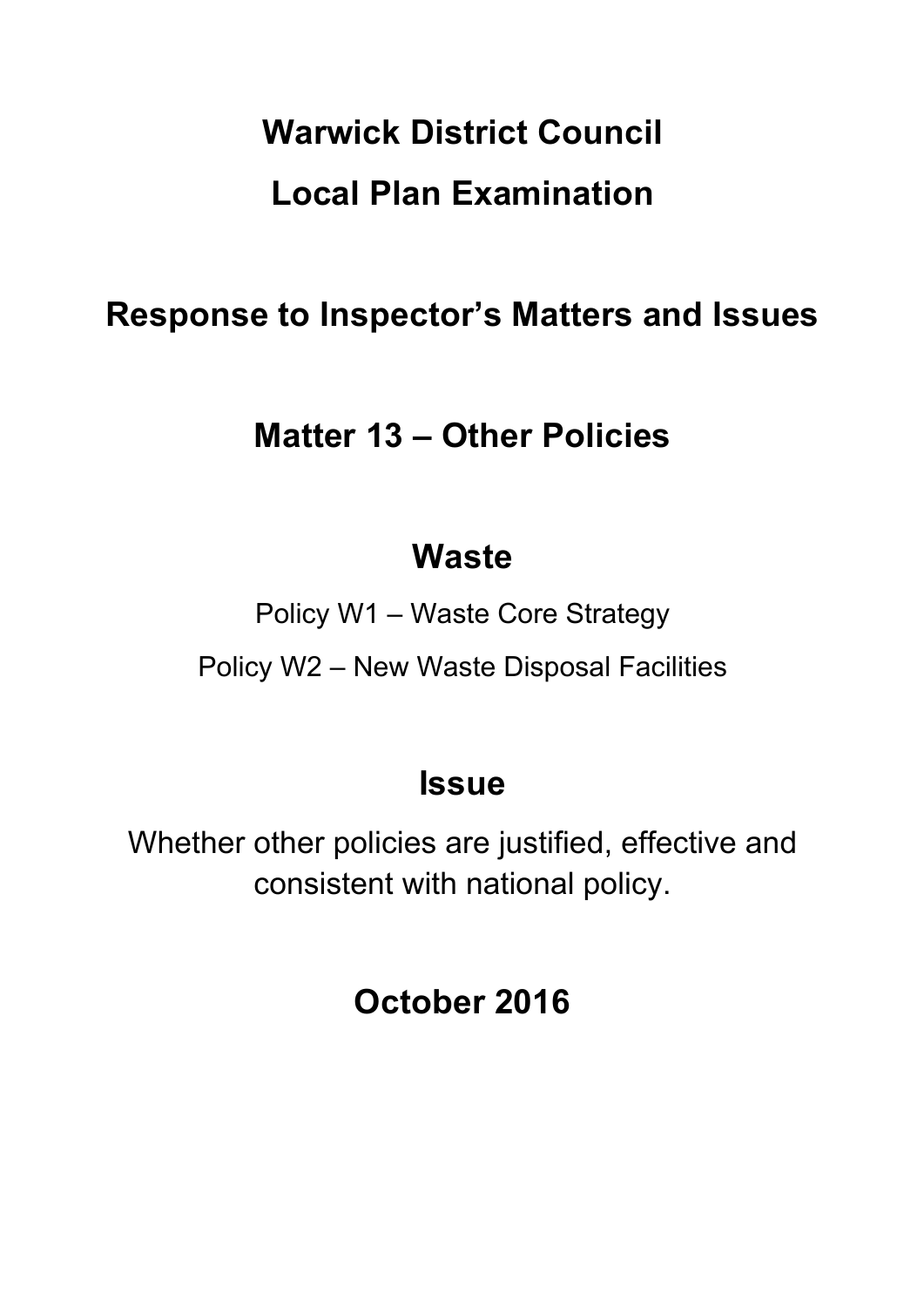# **Warwick District Council Local Plan Examination**

### **Response to Inspector's Matters and Issues**

### **Matter 13 – Other Policies**

### **Waste**

Policy W1 – Waste Core Strategy Policy W2 – New Waste Disposal Facilities

### **Issue**

Whether other policies are justified, effective and consistent with national policy.

## **October 2016**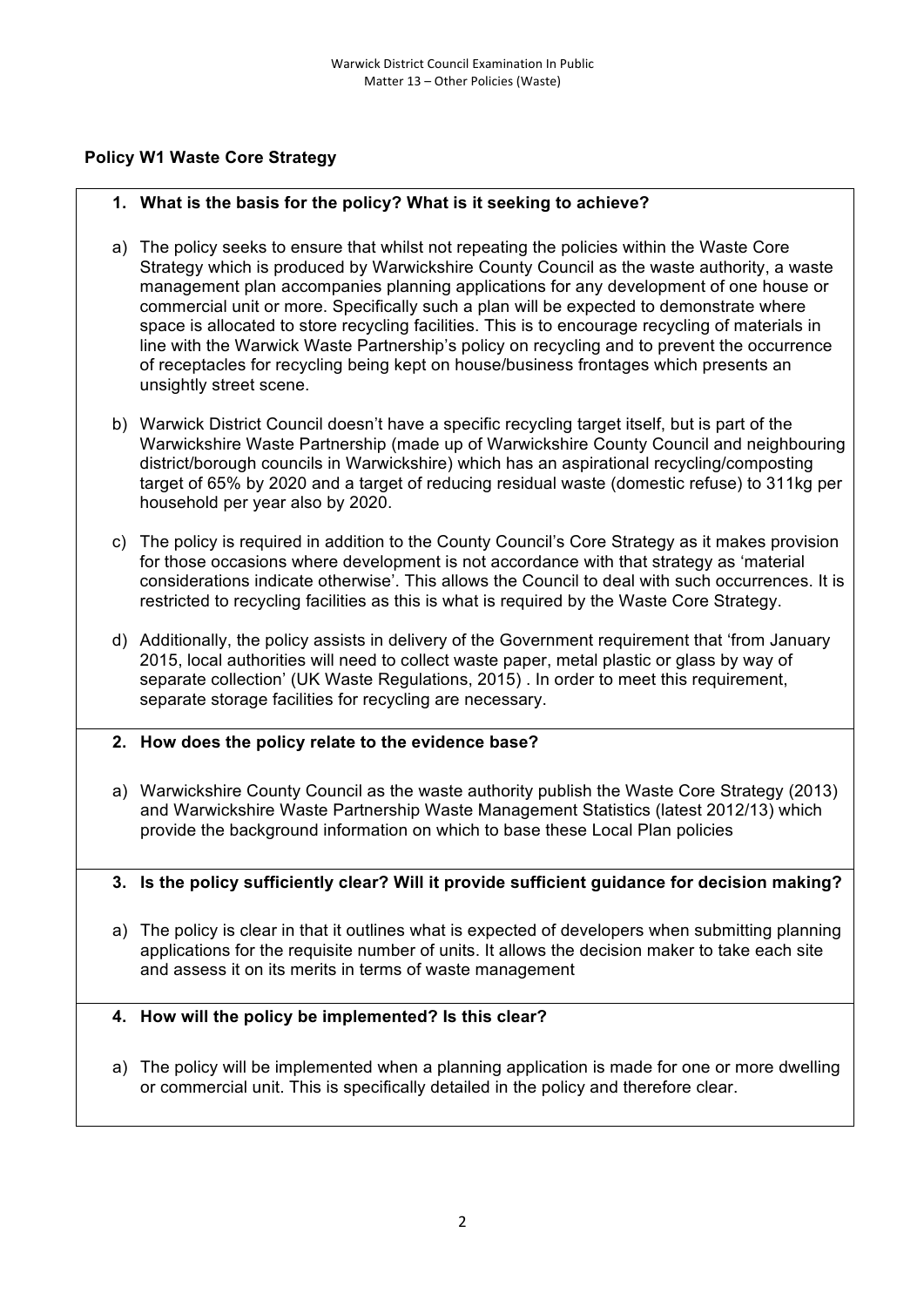#### **Policy W1 Waste Core Strategy**

#### **1. What is the basis for the policy? What is it seeking to achieve?**

- a) The policy seeks to ensure that whilst not repeating the policies within the Waste Core Strategy which is produced by Warwickshire County Council as the waste authority, a waste management plan accompanies planning applications for any development of one house or commercial unit or more. Specifically such a plan will be expected to demonstrate where space is allocated to store recycling facilities. This is to encourage recycling of materials in line with the Warwick Waste Partnership's policy on recycling and to prevent the occurrence of receptacles for recycling being kept on house/business frontages which presents an unsightly street scene.
- b) Warwick District Council doesn't have a specific recycling target itself, but is part of the Warwickshire Waste Partnership (made up of Warwickshire County Council and neighbouring district/borough councils in Warwickshire) which has an aspirational recycling/composting target of 65% by 2020 and a target of reducing residual waste (domestic refuse) to 311kg per household per year also by 2020.
- c) The policy is required in addition to the County Council's Core Strategy as it makes provision for those occasions where development is not accordance with that strategy as 'material considerations indicate otherwise'. This allows the Council to deal with such occurrences. It is restricted to recycling facilities as this is what is required by the Waste Core Strategy.
- d) Additionally, the policy assists in delivery of the Government requirement that 'from January 2015, local authorities will need to collect waste paper, metal plastic or glass by way of separate collection' (UK Waste Regulations, 2015) . In order to meet this requirement, separate storage facilities for recycling are necessary.
- **2. How does the policy relate to the evidence base?**
- a) Warwickshire County Council as the waste authority publish the Waste Core Strategy (2013) and Warwickshire Waste Partnership Waste Management Statistics (latest 2012/13) which provide the background information on which to base these Local Plan policies

#### **3. Is the policy sufficiently clear? Will it provide sufficient guidance for decision making?**

a) The policy is clear in that it outlines what is expected of developers when submitting planning applications for the requisite number of units. It allows the decision maker to take each site and assess it on its merits in terms of waste management

#### **4. How will the policy be implemented? Is this clear?**

a) The policy will be implemented when a planning application is made for one or more dwelling or commercial unit. This is specifically detailed in the policy and therefore clear.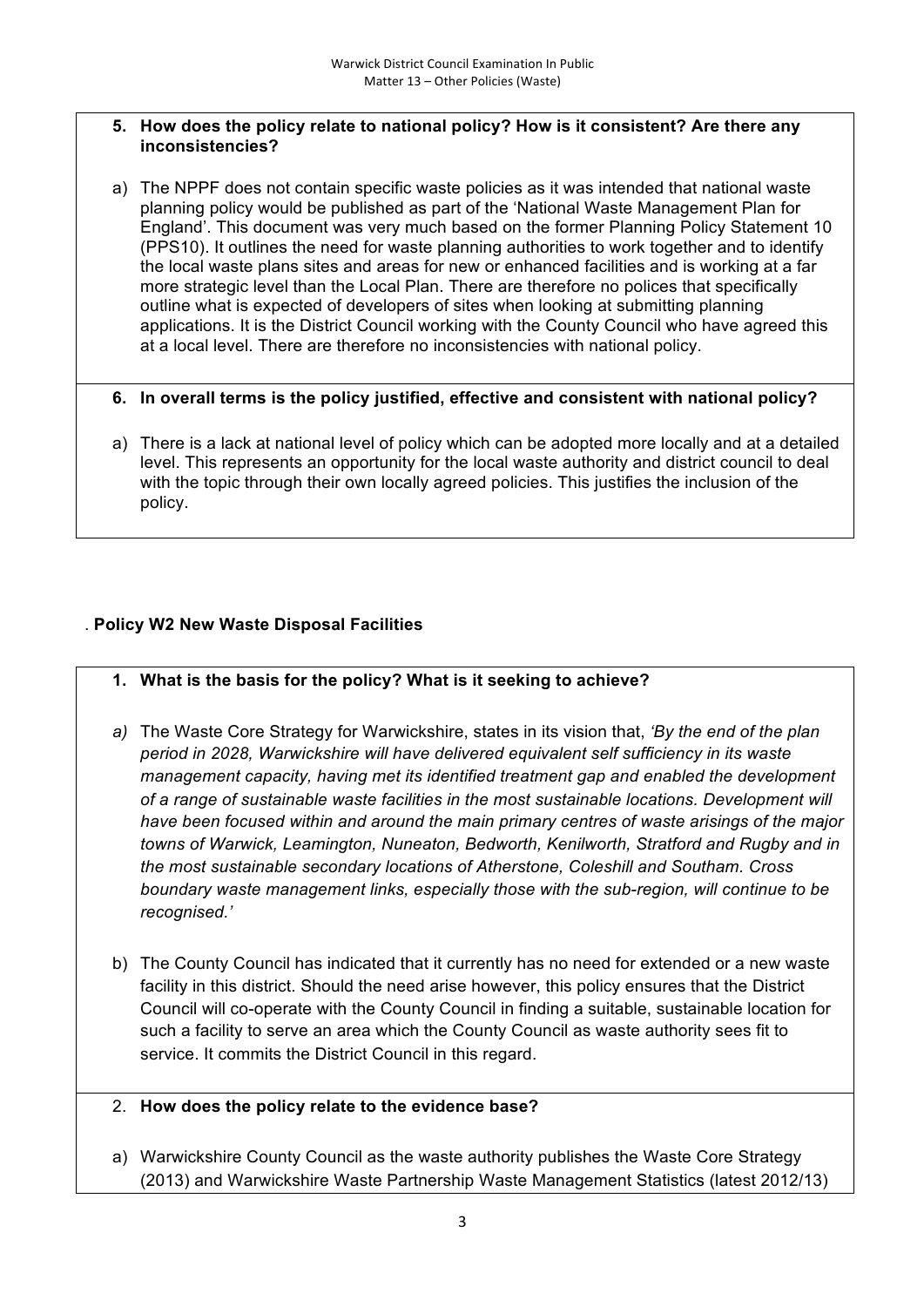#### **5. How does the policy relate to national policy? How is it consistent? Are there any inconsistencies?**

a) The NPPF does not contain specific waste policies as it was intended that national waste planning policy would be published as part of the 'National Waste Management Plan for England'. This document was very much based on the former Planning Policy Statement 10 (PPS10). It outlines the need for waste planning authorities to work together and to identify the local waste plans sites and areas for new or enhanced facilities and is working at a far more strategic level than the Local Plan. There are therefore no polices that specifically outline what is expected of developers of sites when looking at submitting planning applications. It is the District Council working with the County Council who have agreed this at a local level. There are therefore no inconsistencies with national policy.

#### **6. In overall terms is the policy justified, effective and consistent with national policy?**

a) There is a lack at national level of policy which can be adopted more locally and at a detailed level. This represents an opportunity for the local waste authority and district council to deal with the topic through their own locally agreed policies. This justifies the inclusion of the policy.

#### . **Policy W2 New Waste Disposal Facilities**

- **1. What is the basis for the policy? What is it seeking to achieve?**
- *a)* The Waste Core Strategy for Warwickshire, states in its vision that, *'By the end of the plan period in 2028, Warwickshire will have delivered equivalent self sufficiency in its waste management capacity, having met its identified treatment gap and enabled the development of a range of sustainable waste facilities in the most sustainable locations. Development will have been focused within and around the main primary centres of waste arisings of the major towns of Warwick, Leamington, Nuneaton, Bedworth, Kenilworth, Stratford and Rugby and in the most sustainable secondary locations of Atherstone, Coleshill and Southam. Cross boundary waste management links, especially those with the sub-region, will continue to be recognised.'*
- b) The County Council has indicated that it currently has no need for extended or a new waste facility in this district. Should the need arise however, this policy ensures that the District Council will co-operate with the County Council in finding a suitable, sustainable location for such a facility to serve an area which the County Council as waste authority sees fit to service. It commits the District Council in this regard.
- 2. **How does the policy relate to the evidence base?**
- a) Warwickshire County Council as the waste authority publishes the Waste Core Strategy (2013) and Warwickshire Waste Partnership Waste Management Statistics (latest 2012/13)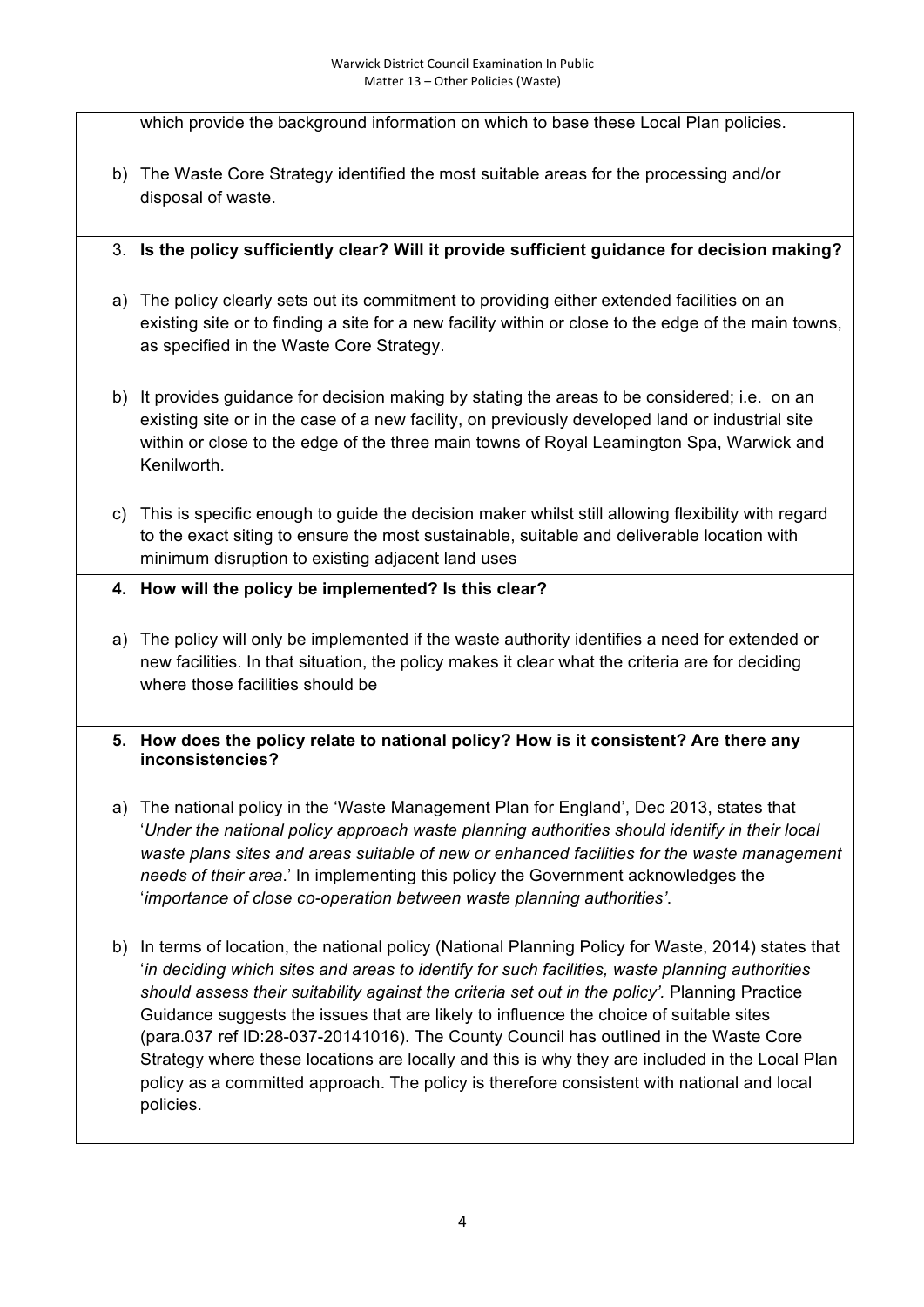which provide the background information on which to base these Local Plan policies.

- b) The Waste Core Strategy identified the most suitable areas for the processing and/or disposal of waste.
- 3. **Is the policy sufficiently clear? Will it provide sufficient guidance for decision making?**
- a) The policy clearly sets out its commitment to providing either extended facilities on an existing site or to finding a site for a new facility within or close to the edge of the main towns, as specified in the Waste Core Strategy.
- b) It provides guidance for decision making by stating the areas to be considered; i.e. on an existing site or in the case of a new facility, on previously developed land or industrial site within or close to the edge of the three main towns of Royal Leamington Spa, Warwick and Kenilworth.
- c) This is specific enough to guide the decision maker whilst still allowing flexibility with regard to the exact siting to ensure the most sustainable, suitable and deliverable location with minimum disruption to existing adjacent land uses
- **4. How will the policy be implemented? Is this clear?**
- a) The policy will only be implemented if the waste authority identifies a need for extended or new facilities. In that situation, the policy makes it clear what the criteria are for deciding where those facilities should be
- **5. How does the policy relate to national policy? How is it consistent? Are there any inconsistencies?**
- a) The national policy in the 'Waste Management Plan for England', Dec 2013, states that '*Under the national policy approach waste planning authorities should identify in their local waste plans sites and areas suitable of new or enhanced facilities for the waste management needs of their area*.' In implementing this policy the Government acknowledges the '*importance of close co-operation between waste planning authorities'*.
- b) In terms of location, the national policy (National Planning Policy for Waste, 2014) states that '*in deciding which sites and areas to identify for such facilities, waste planning authorities*  should assess their suitability against the criteria set out in the policy'. Planning Practice Guidance suggests the issues that are likely to influence the choice of suitable sites (para.037 ref ID:28-037-20141016). The County Council has outlined in the Waste Core Strategy where these locations are locally and this is why they are included in the Local Plan policy as a committed approach. The policy is therefore consistent with national and local policies.